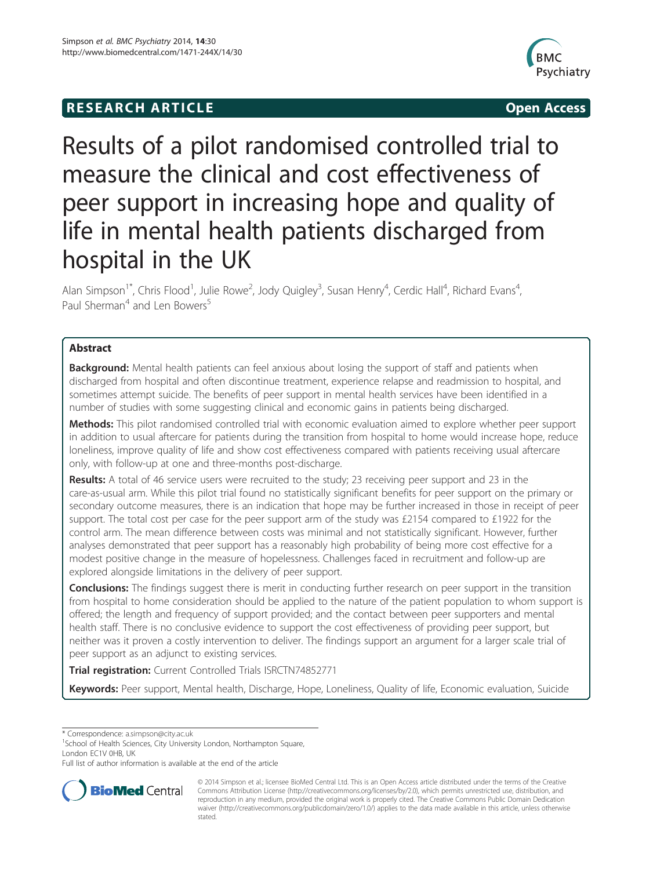## **RESEARCH ARTICLE Example 2014 CONSIDERING CONSIDERING CONSIDERING CONSIDERING CONSIDERING CONSIDERING CONSIDERING CONSIDERING CONSIDERING CONSIDERING CONSIDERING CONSIDERING CONSIDERING CONSIDERING CONSIDERING CONSIDE**



# Results of a pilot randomised controlled trial to measure the clinical and cost effectiveness of peer support in increasing hope and quality of life in mental health patients discharged from hospital in the UK

Alan Simpson<sup>1\*</sup>, Chris Flood<sup>1</sup>, Julie Rowe<sup>2</sup>, Jody Quigley<sup>3</sup>, Susan Henry<sup>4</sup>, Cerdic Hall<sup>4</sup>, Richard Evans<sup>4</sup> , Paul Sherman<sup>4</sup> and Len Bowers<sup>5</sup>

## Abstract

**Background:** Mental health patients can feel anxious about losing the support of staff and patients when discharged from hospital and often discontinue treatment, experience relapse and readmission to hospital, and sometimes attempt suicide. The benefits of peer support in mental health services have been identified in a number of studies with some suggesting clinical and economic gains in patients being discharged.

Methods: This pilot randomised controlled trial with economic evaluation aimed to explore whether peer support in addition to usual aftercare for patients during the transition from hospital to home would increase hope, reduce loneliness, improve quality of life and show cost effectiveness compared with patients receiving usual aftercare only, with follow-up at one and three-months post-discharge.

Results: A total of 46 service users were recruited to the study; 23 receiving peer support and 23 in the care-as-usual arm. While this pilot trial found no statistically significant benefits for peer support on the primary or secondary outcome measures, there is an indication that hope may be further increased in those in receipt of peer support. The total cost per case for the peer support arm of the study was £2154 compared to £1922 for the control arm. The mean difference between costs was minimal and not statistically significant. However, further analyses demonstrated that peer support has a reasonably high probability of being more cost effective for a modest positive change in the measure of hopelessness. Challenges faced in recruitment and follow-up are explored alongside limitations in the delivery of peer support.

**Conclusions:** The findings suggest there is merit in conducting further research on peer support in the transition from hospital to home consideration should be applied to the nature of the patient population to whom support is offered; the length and frequency of support provided; and the contact between peer supporters and mental health staff. There is no conclusive evidence to support the cost effectiveness of providing peer support, but neither was it proven a costly intervention to deliver. The findings support an argument for a larger scale trial of peer support as an adjunct to existing services.

Trial registration: Current Controlled Trials [ISRCTN74852771](http://www.controlled-trials.com/ISRCTN74852771)

Keywords: Peer support, Mental health, Discharge, Hope, Loneliness, Quality of life, Economic evaluation, Suicide

\* Correspondence: [a.simpson@city.ac.uk](mailto:a.simpson@city.ac.uk) <sup>1</sup>

<sup>1</sup>School of Health Sciences, City University London, Northampton Square, London EC1V 0HB, UK

Full list of author information is available at the end of the article



<sup>© 2014</sup> Simpson et al.; licensee BioMed Central Ltd. This is an Open Access article distributed under the terms of the Creative Commons Attribution License [\(http://creativecommons.org/licenses/by/2.0\)](http://creativecommons.org/licenses/by/2.0), which permits unrestricted use, distribution, and reproduction in any medium, provided the original work is properly cited. The Creative Commons Public Domain Dedication waiver [\(http://creativecommons.org/publicdomain/zero/1.0/\)](http://creativecommons.org/publicdomain/zero/1.0/) applies to the data made available in this article, unless otherwise stated.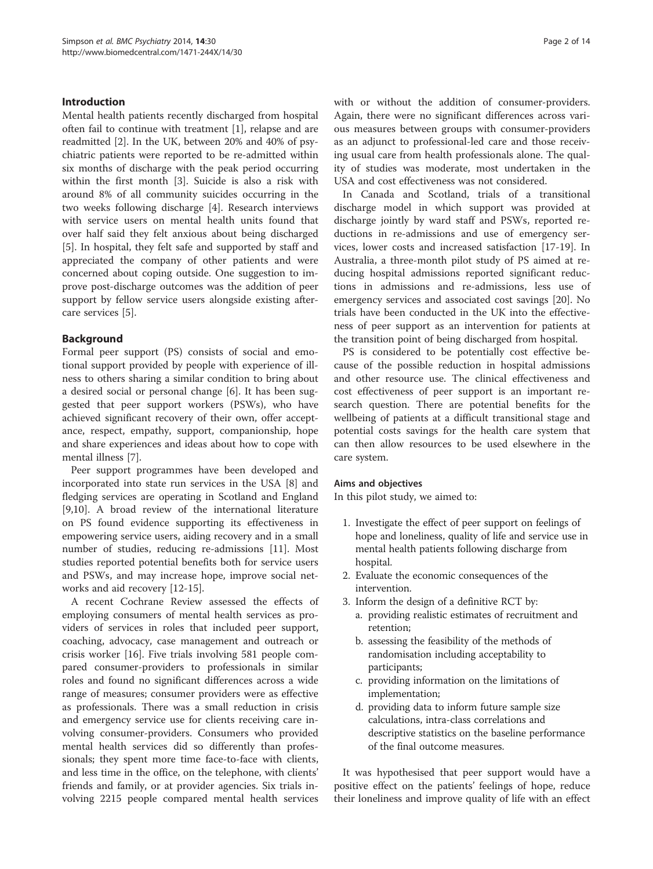## Introduction

Mental health patients recently discharged from hospital often fail to continue with treatment [[1\]](#page-12-0), relapse and are readmitted [\[2](#page-12-0)]. In the UK, between 20% and 40% of psychiatric patients were reported to be re-admitted within six months of discharge with the peak period occurring within the first month [[3\]](#page-12-0). Suicide is also a risk with around 8% of all community suicides occurring in the two weeks following discharge [\[4](#page-12-0)]. Research interviews with service users on mental health units found that over half said they felt anxious about being discharged [[5\]](#page-12-0). In hospital, they felt safe and supported by staff and appreciated the company of other patients and were concerned about coping outside. One suggestion to improve post-discharge outcomes was the addition of peer support by fellow service users alongside existing aftercare services [\[5](#page-12-0)].

#### Background

Formal peer support (PS) consists of social and emotional support provided by people with experience of illness to others sharing a similar condition to bring about a desired social or personal change [\[6](#page-12-0)]. It has been suggested that peer support workers (PSWs), who have achieved significant recovery of their own, offer acceptance, respect, empathy, support, companionship, hope and share experiences and ideas about how to cope with mental illness [[7\]](#page-12-0).

Peer support programmes have been developed and incorporated into state run services in the USA [[8\]](#page-12-0) and fledging services are operating in Scotland and England [[9,10\]](#page-12-0). A broad review of the international literature on PS found evidence supporting its effectiveness in empowering service users, aiding recovery and in a small number of studies, reducing re-admissions [[11\]](#page-12-0). Most studies reported potential benefits both for service users and PSWs, and may increase hope, improve social networks and aid recovery [[12-15](#page-12-0)].

A recent Cochrane Review assessed the effects of employing consumers of mental health services as providers of services in roles that included peer support, coaching, advocacy, case management and outreach or crisis worker [[16](#page-12-0)]. Five trials involving 581 people compared consumer-providers to professionals in similar roles and found no significant differences across a wide range of measures; consumer providers were as effective as professionals. There was a small reduction in crisis and emergency service use for clients receiving care involving consumer-providers. Consumers who provided mental health services did so differently than professionals; they spent more time face-to-face with clients, and less time in the office, on the telephone, with clients' friends and family, or at provider agencies. Six trials involving 2215 people compared mental health services with or without the addition of consumer-providers. Again, there were no significant differences across various measures between groups with consumer-providers as an adjunct to professional-led care and those receiving usual care from health professionals alone. The quality of studies was moderate, most undertaken in the USA and cost effectiveness was not considered.

In Canada and Scotland, trials of a transitional discharge model in which support was provided at discharge jointly by ward staff and PSWs, reported reductions in re-admissions and use of emergency services, lower costs and increased satisfaction [\[17-19](#page-12-0)]. In Australia, a three-month pilot study of PS aimed at reducing hospital admissions reported significant reductions in admissions and re-admissions, less use of emergency services and associated cost savings [\[20](#page-12-0)]. No trials have been conducted in the UK into the effectiveness of peer support as an intervention for patients at the transition point of being discharged from hospital.

PS is considered to be potentially cost effective because of the possible reduction in hospital admissions and other resource use. The clinical effectiveness and cost effectiveness of peer support is an important research question. There are potential benefits for the wellbeing of patients at a difficult transitional stage and potential costs savings for the health care system that can then allow resources to be used elsewhere in the care system.

#### Aims and objectives

In this pilot study, we aimed to:

- 1. Investigate the effect of peer support on feelings of hope and loneliness, quality of life and service use in mental health patients following discharge from hospital.
- 2. Evaluate the economic consequences of the intervention.
- 3. Inform the design of a definitive RCT by:
	- a. providing realistic estimates of recruitment and retention;
	- b. assessing the feasibility of the methods of randomisation including acceptability to participants;
	- c. providing information on the limitations of implementation;
	- d. providing data to inform future sample size calculations, intra-class correlations and descriptive statistics on the baseline performance of the final outcome measures.

It was hypothesised that peer support would have a positive effect on the patients' feelings of hope, reduce their loneliness and improve quality of life with an effect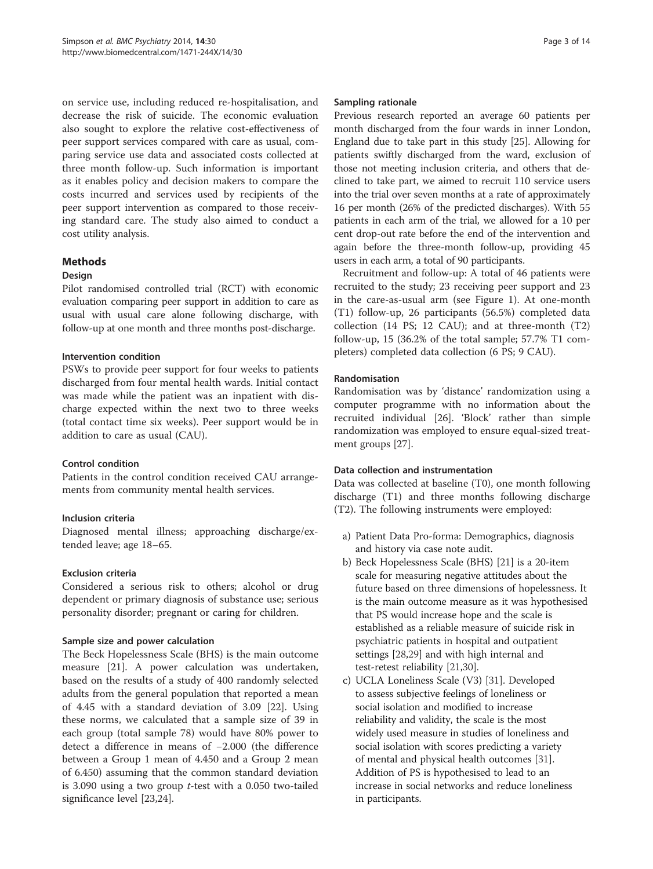on service use, including reduced re-hospitalisation, and decrease the risk of suicide. The economic evaluation also sought to explore the relative cost-effectiveness of peer support services compared with care as usual, comparing service use data and associated costs collected at three month follow-up. Such information is important as it enables policy and decision makers to compare the costs incurred and services used by recipients of the peer support intervention as compared to those receiving standard care. The study also aimed to conduct a cost utility analysis.

## **Methods**

## Design

Pilot randomised controlled trial (RCT) with economic evaluation comparing peer support in addition to care as usual with usual care alone following discharge, with follow-up at one month and three months post-discharge.

#### Intervention condition

PSWs to provide peer support for four weeks to patients discharged from four mental health wards. Initial contact was made while the patient was an inpatient with discharge expected within the next two to three weeks (total contact time six weeks). Peer support would be in addition to care as usual (CAU).

## Control condition

Patients in the control condition received CAU arrangements from community mental health services.

## Inclusion criteria

Diagnosed mental illness; approaching discharge/extended leave; age 18–65.

## Exclusion criteria

Considered a serious risk to others; alcohol or drug dependent or primary diagnosis of substance use; serious personality disorder; pregnant or caring for children.

## Sample size and power calculation

The Beck Hopelessness Scale (BHS) is the main outcome measure [[21\]](#page-12-0). A power calculation was undertaken, based on the results of a study of 400 randomly selected adults from the general population that reported a mean of 4.45 with a standard deviation of 3.09 [[22](#page-12-0)]. Using these norms, we calculated that a sample size of 39 in each group (total sample 78) would have 80% power to detect a difference in means of −2.000 (the difference between a Group 1 mean of 4.450 and a Group 2 mean of 6.450) assuming that the common standard deviation is 3.090 using a two group t-test with a 0.050 two-tailed significance level [[23,24](#page-12-0)].

#### Sampling rationale

Previous research reported an average 60 patients per month discharged from the four wards in inner London, England due to take part in this study [\[25\]](#page-12-0). Allowing for patients swiftly discharged from the ward, exclusion of those not meeting inclusion criteria, and others that declined to take part, we aimed to recruit 110 service users into the trial over seven months at a rate of approximately 16 per month (26% of the predicted discharges). With 55 patients in each arm of the trial, we allowed for a 10 per cent drop-out rate before the end of the intervention and again before the three-month follow-up, providing 45 users in each arm, a total of 90 participants.

Recruitment and follow-up: A total of 46 patients were recruited to the study; 23 receiving peer support and 23 in the care-as-usual arm (see Figure [1\)](#page-3-0). At one-month (T1) follow-up, 26 participants (56.5%) completed data collection (14 PS; 12 CAU); and at three-month (T2) follow-up, 15 (36.2% of the total sample; 57.7% T1 completers) completed data collection (6 PS; 9 CAU).

## Randomisation

Randomisation was by 'distance' randomization using a computer programme with no information about the recruited individual [\[26\]](#page-12-0). 'Block' rather than simple randomization was employed to ensure equal-sized treatment groups [\[27\]](#page-13-0).

## Data collection and instrumentation

Data was collected at baseline (T0), one month following discharge (T1) and three months following discharge (T2). The following instruments were employed:

- a) Patient Data Pro-forma: Demographics, diagnosis and history via case note audit.
- b) Beck Hopelessness Scale (BHS) [\[21\]](#page-12-0) is a 20-item scale for measuring negative attitudes about the future based on three dimensions of hopelessness. It is the main outcome measure as it was hypothesised that PS would increase hope and the scale is established as a reliable measure of suicide risk in psychiatric patients in hospital and outpatient settings [[28](#page-13-0),[29](#page-13-0)] and with high internal and test-retest reliability [\[21](#page-12-0)[,30\]](#page-13-0).
- c) UCLA Loneliness Scale (V3) [[31\]](#page-13-0). Developed to assess subjective feelings of loneliness or social isolation and modified to increase reliability and validity, the scale is the most widely used measure in studies of loneliness and social isolation with scores predicting a variety of mental and physical health outcomes [\[31\]](#page-13-0). Addition of PS is hypothesised to lead to an increase in social networks and reduce loneliness in participants.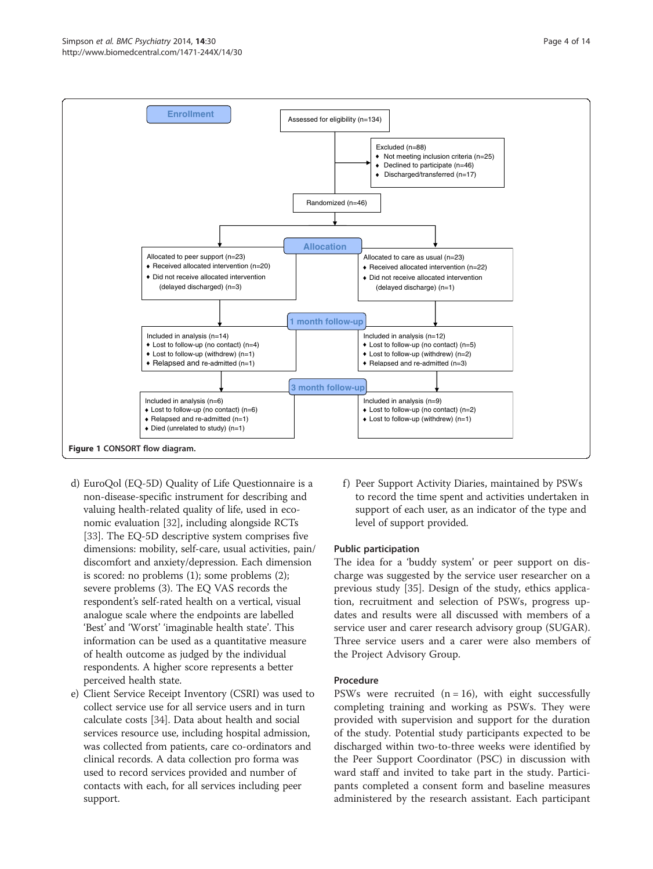<span id="page-3-0"></span>

- d) EuroQol (EQ-5D) Quality of Life Questionnaire is a non-disease-specific instrument for describing and valuing health-related quality of life, used in economic evaluation [[32](#page-13-0)], including alongside RCTs [\[33](#page-13-0)]. The EQ-5D descriptive system comprises five dimensions: mobility, self-care, usual activities, pain/ discomfort and anxiety/depression. Each dimension is scored: no problems (1); some problems (2); severe problems (3). The EQ VAS records the respondent's self-rated health on a vertical, visual analogue scale where the endpoints are labelled 'Best' and 'Worst' 'imaginable health state'. This information can be used as a quantitative measure of health outcome as judged by the individual respondents. A higher score represents a better perceived health state.
- e) Client Service Receipt Inventory (CSRI) was used to collect service use for all service users and in turn calculate costs [\[34](#page-13-0)]. Data about health and social services resource use, including hospital admission, was collected from patients, care co-ordinators and clinical records. A data collection pro forma was used to record services provided and number of contacts with each, for all services including peer support.

f) Peer Support Activity Diaries, maintained by PSWs to record the time spent and activities undertaken in support of each user, as an indicator of the type and level of support provided.

## Public participation

The idea for a 'buddy system' or peer support on discharge was suggested by the service user researcher on a previous study [[35\]](#page-13-0). Design of the study, ethics application, recruitment and selection of PSWs, progress updates and results were all discussed with members of a service user and carer research advisory group (SUGAR). Three service users and a carer were also members of the Project Advisory Group.

## Procedure

PSWs were recruited  $(n = 16)$ , with eight successfully completing training and working as PSWs. They were provided with supervision and support for the duration of the study. Potential study participants expected to be discharged within two-to-three weeks were identified by the Peer Support Coordinator (PSC) in discussion with ward staff and invited to take part in the study. Participants completed a consent form and baseline measures administered by the research assistant. Each participant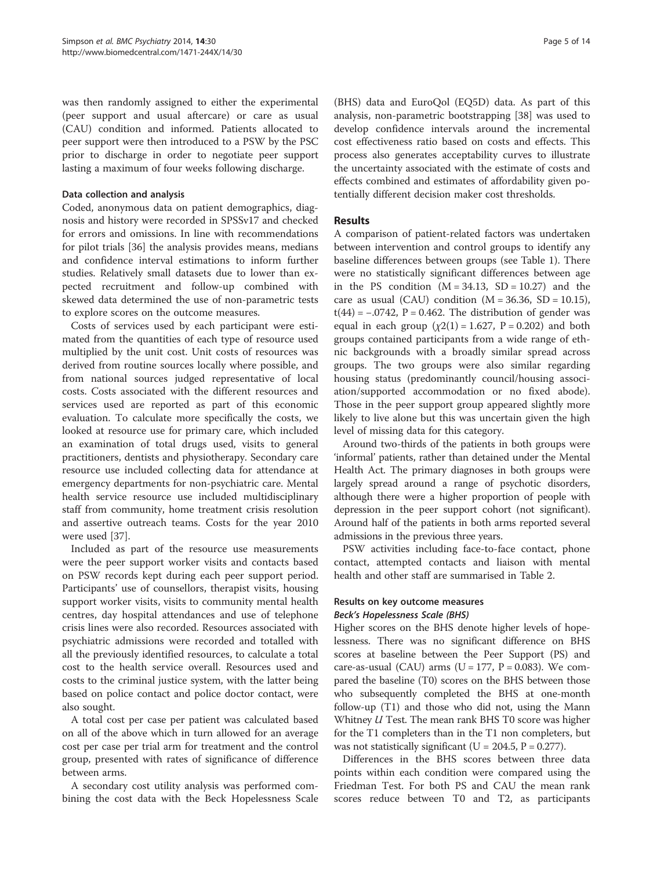was then randomly assigned to either the experimental (peer support and usual aftercare) or care as usual (CAU) condition and informed. Patients allocated to peer support were then introduced to a PSW by the PSC prior to discharge in order to negotiate peer support lasting a maximum of four weeks following discharge.

#### Data collection and analysis

Coded, anonymous data on patient demographics, diagnosis and history were recorded in SPSSv17 and checked for errors and omissions. In line with recommendations for pilot trials [\[36\]](#page-13-0) the analysis provides means, medians and confidence interval estimations to inform further studies. Relatively small datasets due to lower than expected recruitment and follow-up combined with skewed data determined the use of non-parametric tests to explore scores on the outcome measures.

Costs of services used by each participant were estimated from the quantities of each type of resource used multiplied by the unit cost. Unit costs of resources was derived from routine sources locally where possible, and from national sources judged representative of local costs. Costs associated with the different resources and services used are reported as part of this economic evaluation. To calculate more specifically the costs, we looked at resource use for primary care, which included an examination of total drugs used, visits to general practitioners, dentists and physiotherapy. Secondary care resource use included collecting data for attendance at emergency departments for non-psychiatric care. Mental health service resource use included multidisciplinary staff from community, home treatment crisis resolution and assertive outreach teams. Costs for the year 2010 were used [[37\]](#page-13-0).

Included as part of the resource use measurements were the peer support worker visits and contacts based on PSW records kept during each peer support period. Participants' use of counsellors, therapist visits, housing support worker visits, visits to community mental health centres, day hospital attendances and use of telephone crisis lines were also recorded. Resources associated with psychiatric admissions were recorded and totalled with all the previously identified resources, to calculate a total cost to the health service overall. Resources used and costs to the criminal justice system, with the latter being based on police contact and police doctor contact, were also sought.

A total cost per case per patient was calculated based on all of the above which in turn allowed for an average cost per case per trial arm for treatment and the control group, presented with rates of significance of difference between arms.

A secondary cost utility analysis was performed combining the cost data with the Beck Hopelessness Scale

(BHS) data and EuroQol (EQ5D) data. As part of this analysis, non-parametric bootstrapping [[38\]](#page-13-0) was used to develop confidence intervals around the incremental cost effectiveness ratio based on costs and effects. This process also generates acceptability curves to illustrate the uncertainty associated with the estimate of costs and effects combined and estimates of affordability given potentially different decision maker cost thresholds.

#### Results

A comparison of patient-related factors was undertaken between intervention and control groups to identify any baseline differences between groups (see Table [1\)](#page-5-0). There were no statistically significant differences between age in the PS condition  $(M = 34.13, SD = 10.27)$  and the care as usual (CAU) condition  $(M = 36.36, SD = 10.15)$ , t(44) =  $-.0742$ , P = 0.462. The distribution of gender was equal in each group  $(\chi^2(1) = 1.627, P = 0.202)$  and both groups contained participants from a wide range of ethnic backgrounds with a broadly similar spread across groups. The two groups were also similar regarding housing status (predominantly council/housing association/supported accommodation or no fixed abode). Those in the peer support group appeared slightly more likely to live alone but this was uncertain given the high level of missing data for this category.

Around two-thirds of the patients in both groups were 'informal' patients, rather than detained under the Mental Health Act. The primary diagnoses in both groups were largely spread around a range of psychotic disorders, although there were a higher proportion of people with depression in the peer support cohort (not significant). Around half of the patients in both arms reported several admissions in the previous three years.

PSW activities including face-to-face contact, phone contact, attempted contacts and liaison with mental health and other staff are summarised in Table [2](#page-6-0).

## Results on key outcome measures Beck's Hopelessness Scale (BHS)

Higher scores on the BHS denote higher levels of hopelessness. There was no significant difference on BHS scores at baseline between the Peer Support (PS) and care-as-usual (CAU) arms (U = 177, P = 0.083). We compared the baseline (T0) scores on the BHS between those who subsequently completed the BHS at one-month follow-up (T1) and those who did not, using the Mann Whitney U Test. The mean rank BHS T0 score was higher for the T1 completers than in the T1 non completers, but was not statistically significant ( $U = 204.5$ ,  $P = 0.277$ ).

Differences in the BHS scores between three data points within each condition were compared using the Friedman Test. For both PS and CAU the mean rank scores reduce between T0 and T2, as participants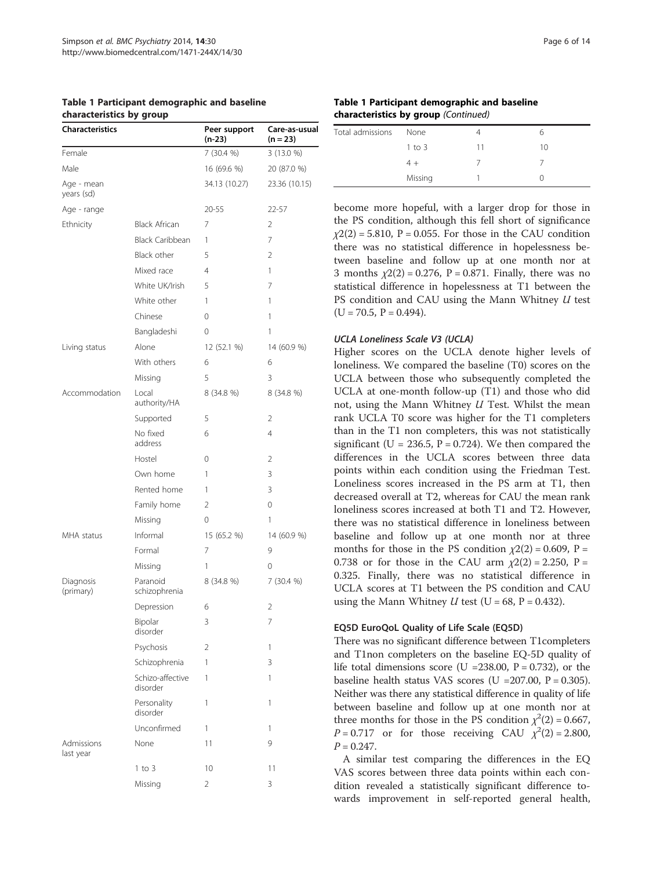<span id="page-5-0"></span>

| Table 1 Participant demographic and baseline |  |
|----------------------------------------------|--|
| characteristics by group                     |  |

| <b>Characteristics</b>   |                              | Peer support<br>(n-23) | Care-as-usual<br>$(n = 23)$ |
|--------------------------|------------------------------|------------------------|-----------------------------|
| Female                   |                              | 7 (30.4 %)             | 3 (13.0 %)                  |
| Male                     |                              | 16 (69.6 %)            | 20 (87.0 %)                 |
| Age - mean<br>years (sd) |                              | 34.13 (10.27)          | 23.36 (10.15)               |
| Age - range              |                              | 20-55                  | 22-57                       |
| Ethnicity                | <b>Black African</b>         | 7                      | 2                           |
|                          | <b>Black Caribbean</b>       | 1                      | 7                           |
|                          | Black other                  | 5                      | 2                           |
|                          | Mixed race                   | 4                      | 1                           |
|                          | White UK/Irish               | 5                      | 7                           |
|                          | White other                  | 1                      | 1                           |
|                          | Chinese                      | 0                      | 1                           |
|                          | Bangladeshi                  | 0                      | 1                           |
| Living status            | Alone                        | 12 (52.1 %)            | 14 (60.9 %)                 |
|                          | With others                  | 6                      | 6                           |
|                          | Missing                      | 5                      | 3                           |
| Accommodation            | Local<br>authority/HA        | 8 (34.8 %)             | 8 (34.8 %)                  |
|                          | Supported                    | 5                      | 2                           |
|                          | No fixed<br>address          | 6                      | 4                           |
|                          | Hostel                       | 0                      | 2                           |
|                          | Own home                     | 1                      | 3                           |
|                          | Rented home                  | 1                      | 3                           |
|                          | Family home                  | 2                      | 0                           |
|                          | Missing                      | 0                      | 1                           |
| MHA status               | Informal                     | 15 (65.2 %)            | 14 (60.9 %)                 |
|                          | Formal                       | 7                      | 9                           |
|                          | Missing                      | 1                      | 0                           |
| Diagnosis<br>(primary)   | Paranoid<br>schizophrenia    | 8 (34.8 %)             | 7 (30.4 %)                  |
|                          | Depression                   | 6                      | 2                           |
|                          | Bipolar<br>disorder          | 3                      | 7                           |
|                          | Psychosis                    | $\overline{2}$         | 1                           |
|                          | Schizophrenia                | 1                      | 3                           |
|                          | Schizo-affective<br>disorder | 1                      | 1                           |
|                          | Personality<br>disorder      | 1                      | 1                           |
|                          | Unconfirmed                  | 1                      | 1                           |
| Admissions<br>last year  | None                         | 11                     | 9                           |
|                          | $1$ to $3$                   | 10                     | 11                          |
|                          | Missing                      | 2                      | 3                           |

## Table 1 Participant demographic and baseline characteristics by group (Continued)

| Total admissions | None       |    |    |
|------------------|------------|----|----|
|                  | $1$ to $3$ | 11 | 10 |
|                  | $4+$       |    |    |
|                  | Missing    |    |    |

become more hopeful, with a larger drop for those in the PS condition, although this fell short of significance  $\chi$ 2(2) = 5.810, P = 0.055. For those in the CAU condition there was no statistical difference in hopelessness between baseline and follow up at one month nor at 3 months  $\chi$ 2(2) = 0.276, P = 0.871. Finally, there was no statistical difference in hopelessness at T1 between the PS condition and CAU using the Mann Whitney U test  $(U = 70.5, P = 0.494).$ 

## UCLA Loneliness Scale V3 (UCLA)

Higher scores on the UCLA denote higher levels of loneliness. We compared the baseline (T0) scores on the UCLA between those who subsequently completed the UCLA at one-month follow-up (T1) and those who did not, using the Mann Whitney  $U$  Test. Whilst the mean rank UCLA T0 score was higher for the T1 completers than in the T1 non completers, this was not statistically significant ( $U = 236.5$ ,  $P = 0.724$ ). We then compared the differences in the UCLA scores between three data points within each condition using the Friedman Test. Loneliness scores increased in the PS arm at T1, then decreased overall at T2, whereas for CAU the mean rank loneliness scores increased at both T1 and T2. However, there was no statistical difference in loneliness between baseline and follow up at one month nor at three months for those in the PS condition  $\chi$ 2(2) = 0.609, P = 0.738 or for those in the CAU arm  $\chi$ 2(2) = 2.250, P = 0.325. Finally, there was no statistical difference in UCLA scores at T1 between the PS condition and CAU using the Mann Whitney  $U$  test (U = 68, P = 0.432).

## EQ5D EuroQoL Quality of Life Scale (EQ5D)

There was no significant difference between T1completers and T1non completers on the baseline EQ-5D quality of life total dimensions score (U =  $238.00$ , P = 0.732), or the baseline health status VAS scores (U =  $207.00$ , P = 0.305). Neither was there any statistical difference in quality of life between baseline and follow up at one month nor at three months for those in the PS condition  $\chi^2(2) = 0.667$ ,  $P = 0.717$  or for those receiving CAU  $\chi^2(2) = 2.800$ ,  $P = 0.247$ .

A similar test comparing the differences in the EQ VAS scores between three data points within each condition revealed a statistically significant difference towards improvement in self-reported general health,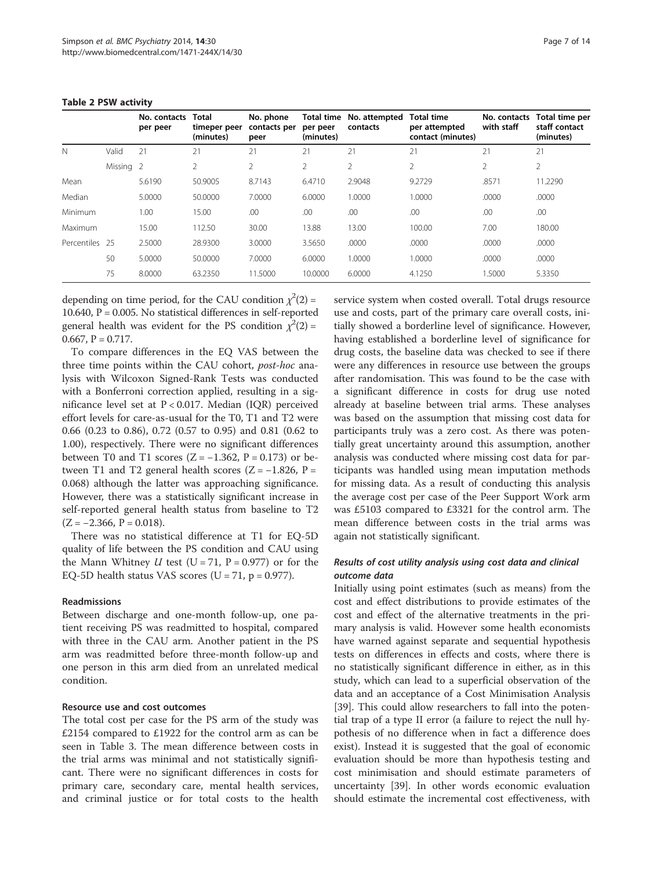|                |           | No. contacts<br>per peer | Total<br>timeper peer<br>(minutes) | No. phone<br>contacts per<br>peer | Total time<br>per peer<br>(minutes) | No. attempted<br>contacts | <b>Total time</b><br>per attempted<br>contact (minutes) | No. contacts<br>with staff | Total time per<br>staff contact<br>(minutes) |
|----------------|-----------|--------------------------|------------------------------------|-----------------------------------|-------------------------------------|---------------------------|---------------------------------------------------------|----------------------------|----------------------------------------------|
| N              | Valid     | 21                       | 21                                 | 21                                | 21                                  | 21                        | 21                                                      | 21                         | 21                                           |
|                | Missing 2 |                          | 2                                  | 2                                 | 2                                   | $\overline{2}$            | 2                                                       | 2                          | 2                                            |
| Mean           |           | 5.6190                   | 50.9005                            | 8.7143                            | 6.4710                              | 2.9048                    | 9.2729                                                  | .8571                      | 11.2290                                      |
| Median         |           | 5.0000                   | 50,0000                            | 7.0000                            | 6.0000                              | 1.0000                    | 1.0000                                                  | .0000                      | .0000                                        |
| Minimum        |           | 1.00                     | 15.00                              | .00                               | .00                                 | .00                       | .00                                                     | .00                        | .00                                          |
| Maximum        |           | 15.00                    | 112.50                             | 30.00                             | 13.88                               | 13.00                     | 100.00                                                  | 7.00                       | 180.00                                       |
| Percentiles 25 |           | 2.5000                   | 28.9300                            | 3.0000                            | 3.5650                              | .0000                     | .0000                                                   | .0000                      | .0000                                        |
|                | 50        | 5.0000                   | 50,0000                            | 7.0000                            | 6.0000                              | 1.0000                    | 1.0000                                                  | .0000                      | .0000                                        |
|                | 75        | 8.0000                   | 63.2350                            | 11.5000                           | 10.0000                             | 6.0000                    | 4.1250                                                  | .5000                      | 5.3350                                       |

<span id="page-6-0"></span>Table 2 PSW activity

depending on time period, for the CAU condition  $\chi^2(2)$  = 10.640, P = 0.005. No statistical differences in self-reported general health was evident for the PS condition  $\chi^2(2)$  =  $0.667$ ,  $P = 0.717$ .

To compare differences in the EQ VAS between the three time points within the CAU cohort, post-hoc analysis with Wilcoxon Signed-Rank Tests was conducted with a Bonferroni correction applied, resulting in a significance level set at P < 0.017. Median (IQR) perceived effort levels for care-as-usual for the T0, T1 and T2 were 0.66 (0.23 to 0.86), 0.72 (0.57 to 0.95) and 0.81 (0.62 to 1.00), respectively. There were no significant differences between T0 and T1 scores  $(Z = -1.362, P = 0.173)$  or between T1 and T2 general health scores  $(Z = -1.826, P =$ 0.068) although the latter was approaching significance. However, there was a statistically significant increase in self-reported general health status from baseline to T2  $(Z = -2.366, P = 0.018).$ 

There was no statistical difference at T1 for EQ-5D quality of life between the PS condition and CAU using the Mann Whitney U test (U = 71, P = 0.977) or for the EQ-5D health status VAS scores (U = 71,  $p = 0.977$ ).

#### Readmissions

Between discharge and one-month follow-up, one patient receiving PS was readmitted to hospital, compared with three in the CAU arm. Another patient in the PS arm was readmitted before three-month follow-up and one person in this arm died from an unrelated medical condition.

#### Resource use and cost outcomes

The total cost per case for the PS arm of the study was £2154 compared to £1922 for the control arm as can be seen in Table [3](#page-7-0). The mean difference between costs in the trial arms was minimal and not statistically significant. There were no significant differences in costs for primary care, secondary care, mental health services, and criminal justice or for total costs to the health

service system when costed overall. Total drugs resource use and costs, part of the primary care overall costs, initially showed a borderline level of significance. However, having established a borderline leveI of significance for drug costs, the baseline data was checked to see if there were any differences in resource use between the groups after randomisation. This was found to be the case with a significant difference in costs for drug use noted already at baseline between trial arms. These analyses was based on the assumption that missing cost data for participants truly was a zero cost. As there was potentially great uncertainty around this assumption, another analysis was conducted where missing cost data for participants was handled using mean imputation methods for missing data. As a result of conducting this analysis the average cost per case of the Peer Support Work arm was £5103 compared to £3321 for the control arm. The mean difference between costs in the trial arms was again not statistically significant.

## Results of cost utility analysis using cost data and clinical outcome data

Initially using point estimates (such as means) from the cost and effect distributions to provide estimates of the cost and effect of the alternative treatments in the primary analysis is valid. However some health economists have warned against separate and sequential hypothesis tests on differences in effects and costs, where there is no statistically significant difference in either, as in this study, which can lead to a superficial observation of the data and an acceptance of a Cost Minimisation Analysis [[39\]](#page-13-0). This could allow researchers to fall into the potential trap of a type II error (a failure to reject the null hypothesis of no difference when in fact a difference does exist). Instead it is suggested that the goal of economic evaluation should be more than hypothesis testing and cost minimisation and should estimate parameters of uncertainty [[39](#page-13-0)]. In other words economic evaluation should estimate the incremental cost effectiveness, with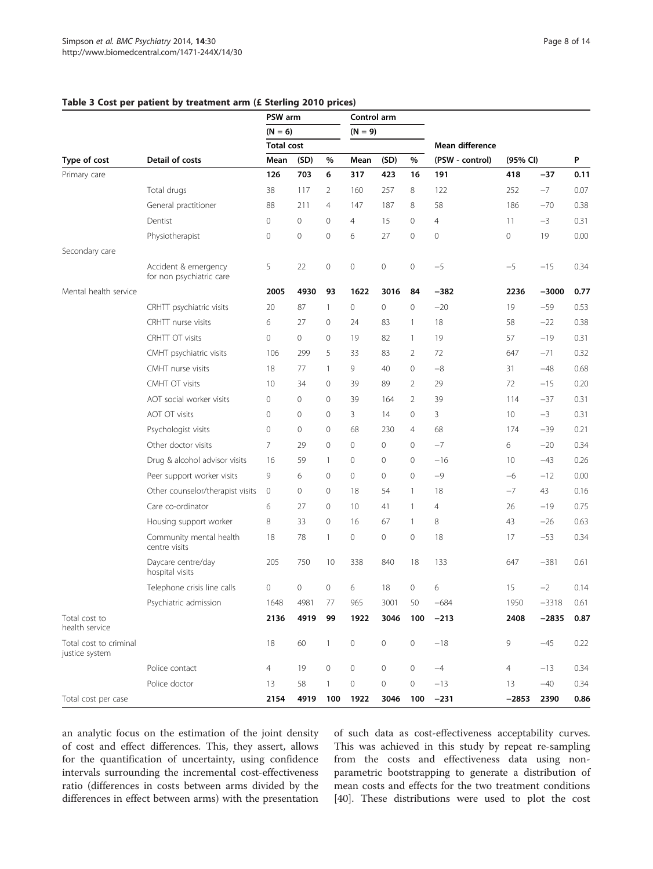#### <span id="page-7-0"></span>Table 3 Cost per patient by treatment arm (£ Sterling 2010 prices)

|                                          |                                                  | PSW arm                        |                | Control arm<br>$(N = 9)$ |                |              |                     |                 |                |         |      |
|------------------------------------------|--------------------------------------------------|--------------------------------|----------------|--------------------------|----------------|--------------|---------------------|-----------------|----------------|---------|------|
|                                          |                                                  | $(N = 6)$<br><b>Total cost</b> |                |                          |                |              |                     |                 |                |         |      |
|                                          |                                                  |                                |                |                          |                |              |                     | Mean difference |                |         |      |
| Type of cost                             | Detail of costs                                  | Mean                           | (SD)           | %                        | Mean           | (SD)         | $\%$                | (PSW - control) | (95% CI)       |         | P    |
| Primary care                             |                                                  | 126                            | 703            | 6                        | 317            | 423          | 16                  | 191             | 418            | $-37$   | 0.11 |
|                                          | Total drugs                                      | 38                             | 117            | $\overline{2}$           | 160            | 257          | 8                   | 122             | 252            | $-7$    | 0.07 |
|                                          | General practitioner                             | 88                             | 211            | $\overline{4}$           | 147            | 187          | 8                   | 58              | 186            | $-70$   | 0.38 |
|                                          | Dentist                                          | 0                              | $\mathbf 0$    | $\mathbf{0}$             | $\overline{4}$ | 15           | $\mathbf 0$         | $\overline{4}$  | 11             | $-3$    | 0.31 |
|                                          | Physiotherapist                                  | $\overline{0}$                 | $\overline{0}$ | $\mathbf 0$              | 6              | 27           | $\mathbf 0$         | $\overline{0}$  | $\circ$        | 19      | 0.00 |
| Secondary care                           |                                                  |                                |                |                          |                |              |                     |                 |                |         |      |
|                                          | Accident & emergency<br>for non psychiatric care | 5                              | 22             | $\mathbf 0$              | 0              | $\mathbf 0$  | $\mathbf 0$         | $-5$            | $-5$           | $-15$   | 0.34 |
| Mental health service                    |                                                  | 2005                           | 4930           | 93                       | 1622           | 3016         | 84                  | $-382$          | 2236           | $-3000$ | 0.77 |
|                                          | CRHTT psychiatric visits                         | 20                             | 87             | $\overline{1}$           | 0              | $\mathbf 0$  | 0                   | $-20$           | 19             | $-59$   | 0.53 |
|                                          | CRHTT nurse visits                               | 6                              | 27             | $\mathbf 0$              | 24             | 83           | $\mathbf{1}$        | 18              | 58             | $-22$   | 0.38 |
|                                          | <b>CRHTT OT visits</b>                           | $\Omega$                       | $\overline{0}$ | $\mathbf{0}$             | 19             | 82           | $\mathbf{1}$        | 19              | 57             | $-19$   | 0.31 |
|                                          | CMHT psychiatric visits                          | 106                            | 299            | 5                        | 33             | 83           | $\overline{2}$      | 72              | 647            | $-71$   | 0.32 |
|                                          | CMHT nurse visits                                | 18                             | 77             | $\overline{1}$           | 9              | 40           | $\mathbf{0}$        | $-8$            | 31             | $-48$   | 0.68 |
|                                          | CMHT OT visits                                   | 10                             | 34             | $\mathbf{0}$             | 39             | 89           | 2                   | 29              | 72             | $-15$   | 0.20 |
|                                          | AOT social worker visits                         | 0                              | $\mathbf{0}$   | $\mathbf{0}$             | 39             | 164          | 2                   | 39              | 114            | $-37$   | 0.31 |
|                                          | AOT OT visits                                    | $\circ$                        | $\mathbf 0$    | $\mathbf 0$              | 3              | 14           | $\mathbf{0}$        | 3               | 10             | $-3$    | 0.31 |
|                                          | Psychologist visits                              | $\overline{0}$                 | $\mathbf 0$    | $\mathbf 0$              | 68             | 230          | 4                   | 68              | 174            | $-39$   | 0.21 |
|                                          | Other doctor visits                              | $\overline{7}$                 | 29             | $\mathbf{0}$             | 0              | $\mathbf{0}$ | $\mathbf 0$         | $-7$            | 6              | $-20$   | 0.34 |
|                                          | Drug & alcohol advisor visits                    | 16                             | 59             | $\overline{1}$           | 0              | $\mathbf{0}$ | $\mathbf 0$         | $-16$           | 10             | $-43$   | 0.26 |
|                                          | Peer support worker visits                       | 9                              | 6              | $\mathbf 0$              | 0              | $\mathbf{0}$ | $\mathbf 0$         | $-9$            | $-6$           | $-12$   | 0.00 |
|                                          | Other counselor/therapist visits                 | $\mathbf{0}$                   | $\mathbf{0}$   | $\mathbf 0$              | 18             | 54           | 1                   | 18              | $-7$           | 43      | 0.16 |
|                                          | Care co-ordinator                                | 6                              | 27             | $\mathbf 0$              | 10             | 41           | $\mathbf{1}$        | $\overline{4}$  | 26             | $-19$   | 0.75 |
|                                          | Housing support worker                           | 8                              | 33             | $\mathbf 0$              | 16             | 67           | $\overline{1}$      | 8               | 43             | $-26$   | 0.63 |
|                                          | Community mental health<br>centre visits         | 18                             | 78             | $\mathbf{1}$             | 0              | $\mathbf{0}$ | $\mathbf{0}$        | 18              | 17             | $-53$   | 0.34 |
|                                          | Daycare centre/day<br>hospital visits            | 205                            | 750            | 10                       | 338            | 840          | 18                  | 133             | 647            | $-381$  | 0.61 |
|                                          | Telephone crisis line calls                      | $\circ$                        | $\mathbf 0$    | $\mathbf{0}$             | 6              | 18           | $\mathbf 0$         | 6               | 15             | $-2$    | 0.14 |
|                                          | Psychiatric admission                            | 1648                           | 4981           | 77                       | 965            | 3001         | 50                  | $-684$          | 1950           | $-3318$ | 0.61 |
| Total cost to<br>health service          |                                                  | 2136                           | 4919           | 99                       | 1922           | 3046         | 100                 | $-213$          | 2408           | $-2835$ | 0.87 |
| Total cost to criminal<br>justice system |                                                  | 18                             | 60             | $\mathbf{1}$             | 0              | $\mathbf 0$  | $\mathsf{O}\xspace$ | $-18$           | 9              | $-45$   | 0.22 |
|                                          | Police contact                                   | $\overline{4}$                 | 19             | $\mathbf 0$              | $\mathbf 0$    | $\mathbf 0$  | $\circ$             | $-4$            | $\overline{4}$ | $-13$   | 0.34 |
|                                          | Police doctor                                    | 13                             | 58             | $\mathbf{1}$             | 0              | $\mathbf 0$  | $\mathbf 0$         | $-13$           | 13             | $-40$   | 0.34 |
| Total cost per case                      |                                                  | 2154                           | 4919           | 100                      | 1922           | 3046         | 100                 | $-231$          | $-2853$        | 2390    | 0.86 |

an analytic focus on the estimation of the joint density of cost and effect differences. This, they assert, allows for the quantification of uncertainty, using confidence intervals surrounding the incremental cost-effectiveness ratio (differences in costs between arms divided by the differences in effect between arms) with the presentation of such data as cost-effectiveness acceptability curves. This was achieved in this study by repeat re-sampling from the costs and effectiveness data using nonparametric bootstrapping to generate a distribution of mean costs and effects for the two treatment conditions [[40\]](#page-13-0). These distributions were used to plot the cost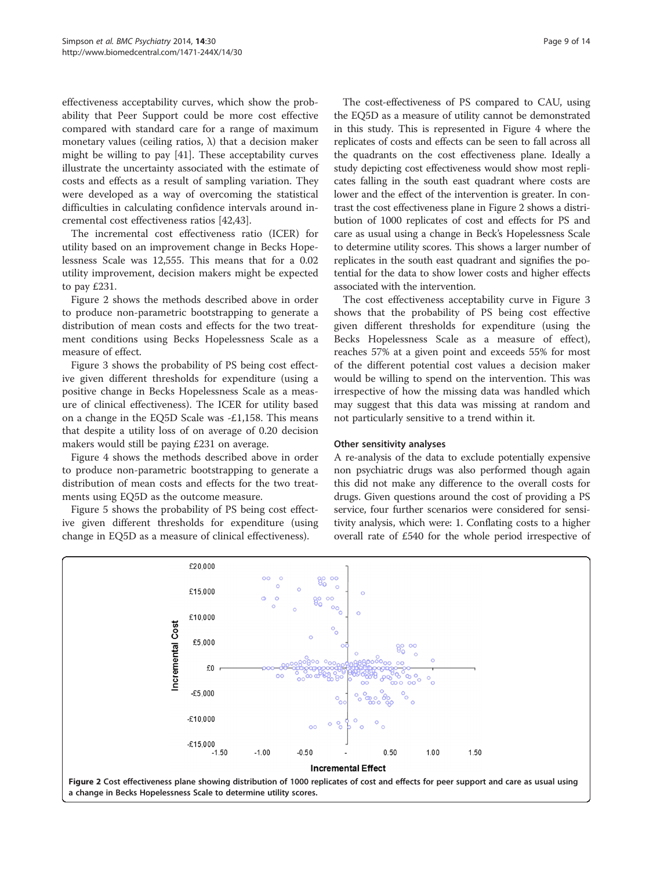effectiveness acceptability curves, which show the probability that Peer Support could be more cost effective compared with standard care for a range of maximum monetary values (ceiling ratios,  $\lambda$ ) that a decision maker might be willing to pay [\[41](#page-13-0)]. These acceptability curves illustrate the uncertainty associated with the estimate of costs and effects as a result of sampling variation. They were developed as a way of overcoming the statistical difficulties in calculating confidence intervals around incremental cost effectiveness ratios [\[42,43](#page-13-0)].

The incremental cost effectiveness ratio (ICER) for utility based on an improvement change in Becks Hopelessness Scale was 12,555. This means that for a 0.02 utility improvement, decision makers might be expected to pay £231.

Figure 2 shows the methods described above in order to produce non-parametric bootstrapping to generate a distribution of mean costs and effects for the two treatment conditions using Becks Hopelessness Scale as a measure of effect.

Figure [3](#page-9-0) shows the probability of PS being cost effective given different thresholds for expenditure (using a positive change in Becks Hopelessness Scale as a measure of clinical effectiveness). The ICER for utility based on a change in the EQ5D Scale was -£1,158. This means that despite a utility loss of on average of 0.20 decision makers would still be paying £231 on average.

Figure [4](#page-9-0) shows the methods described above in order to produce non-parametric bootstrapping to generate a distribution of mean costs and effects for the two treatments using EQ5D as the outcome measure.

Figure [5](#page-10-0) shows the probability of PS being cost effective given different thresholds for expenditure (using change in EQ5D as a measure of clinical effectiveness).

The cost-effectiveness of PS compared to CAU, using the EQ5D as a measure of utility cannot be demonstrated in this study. This is represented in Figure [4](#page-9-0) where the replicates of costs and effects can be seen to fall across all the quadrants on the cost effectiveness plane. Ideally a study depicting cost effectiveness would show most replicates falling in the south east quadrant where costs are lower and the effect of the intervention is greater. In contrast the cost effectiveness plane in Figure 2 shows a distribution of 1000 replicates of cost and effects for PS and care as usual using a change in Beck's Hopelessness Scale to determine utility scores. This shows a larger number of replicates in the south east quadrant and signifies the potential for the data to show lower costs and higher effects associated with the intervention.

The cost effectiveness acceptability curve in Figure [3](#page-9-0) shows that the probability of PS being cost effective given different thresholds for expenditure (using the Becks Hopelessness Scale as a measure of effect), reaches 57% at a given point and exceeds 55% for most of the different potential cost values a decision maker would be willing to spend on the intervention. This was irrespective of how the missing data was handled which may suggest that this data was missing at random and not particularly sensitive to a trend within it.

#### Other sensitivity analyses

A re-analysis of the data to exclude potentially expensive non psychiatric drugs was also performed though again this did not make any difference to the overall costs for drugs. Given questions around the cost of providing a PS service, four further scenarios were considered for sensitivity analysis, which were: 1. Conflating costs to a higher overall rate of £540 for the whole period irrespective of

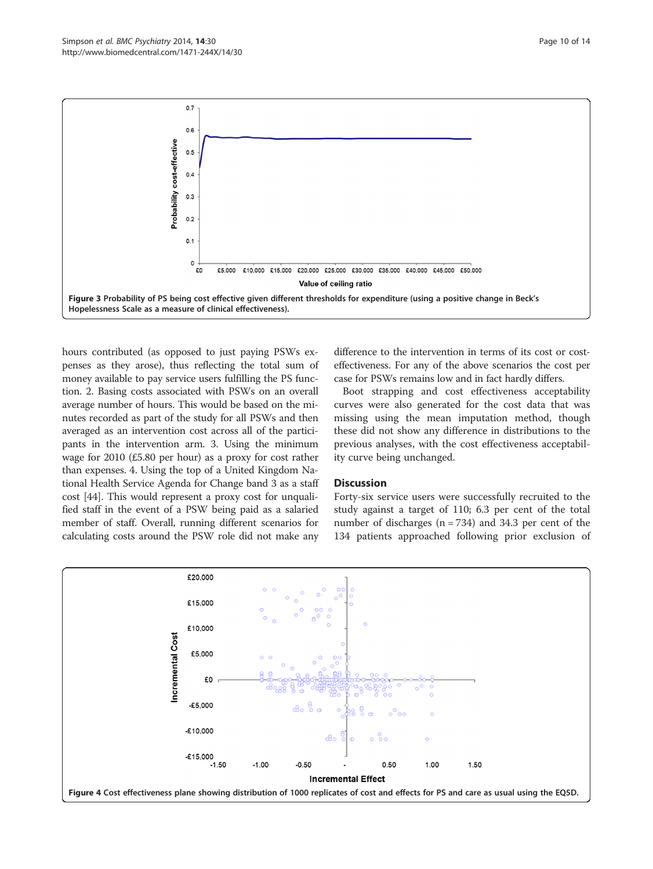<span id="page-9-0"></span>

hours contributed (as opposed to just paying PSWs expenses as they arose), thus reflecting the total sum of money available to pay service users fulfilling the PS function. 2. Basing costs associated with PSWs on an overall average number of hours. This would be based on the minutes recorded as part of the study for all PSWs and then averaged as an intervention cost across all of the participants in the intervention arm. 3. Using the minimum wage for 2010 (£5.80 per hour) as a proxy for cost rather than expenses. 4. Using the top of a United Kingdom National Health Service Agenda for Change band 3 as a staff cost [\[44](#page-13-0)]. This would represent a proxy cost for unqualified staff in the event of a PSW being paid as a salaried member of staff. Overall, running different scenarios for calculating costs around the PSW role did not make any

difference to the intervention in terms of its cost or costeffectiveness. For any of the above scenarios the cost per case for PSWs remains low and in fact hardly differs.

Boot strapping and cost effectiveness acceptability curves were also generated for the cost data that was missing using the mean imputation method, though these did not show any difference in distributions to the previous analyses, with the cost effectiveness acceptability curve being unchanged.

#### **Discussion**

Forty-six service users were successfully recruited to the study against a target of 110; 6.3 per cent of the total number of discharges  $(n = 734)$  and 34.3 per cent of the 134 patients approached following prior exclusion of

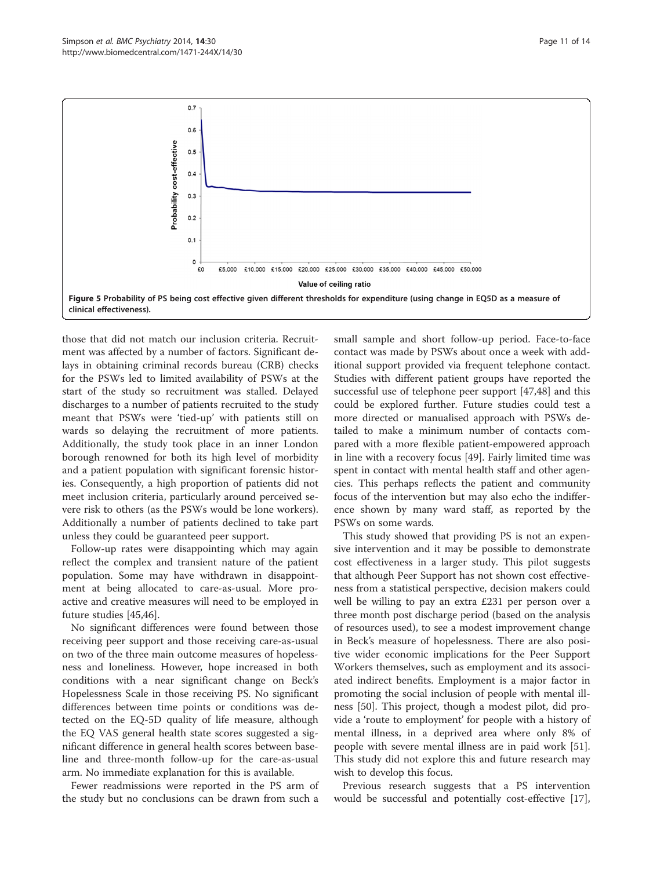<span id="page-10-0"></span>

those that did not match our inclusion criteria. Recruitment was affected by a number of factors. Significant delays in obtaining criminal records bureau (CRB) checks for the PSWs led to limited availability of PSWs at the start of the study so recruitment was stalled. Delayed discharges to a number of patients recruited to the study meant that PSWs were 'tied-up' with patients still on wards so delaying the recruitment of more patients. Additionally, the study took place in an inner London borough renowned for both its high level of morbidity and a patient population with significant forensic histories. Consequently, a high proportion of patients did not meet inclusion criteria, particularly around perceived severe risk to others (as the PSWs would be lone workers). Additionally a number of patients declined to take part unless they could be guaranteed peer support.

Follow-up rates were disappointing which may again reflect the complex and transient nature of the patient population. Some may have withdrawn in disappointment at being allocated to care-as-usual. More proactive and creative measures will need to be employed in future studies [[45,46](#page-13-0)].

No significant differences were found between those receiving peer support and those receiving care-as-usual on two of the three main outcome measures of hopelessness and loneliness. However, hope increased in both conditions with a near significant change on Beck's Hopelessness Scale in those receiving PS. No significant differences between time points or conditions was detected on the EQ-5D quality of life measure, although the EQ VAS general health state scores suggested a significant difference in general health scores between baseline and three-month follow-up for the care-as-usual arm. No immediate explanation for this is available.

Fewer readmissions were reported in the PS arm of the study but no conclusions can be drawn from such a small sample and short follow-up period. Face-to-face contact was made by PSWs about once a week with additional support provided via frequent telephone contact. Studies with different patient groups have reported the successful use of telephone peer support [[47](#page-13-0),[48](#page-13-0)] and this could be explored further. Future studies could test a more directed or manualised approach with PSWs detailed to make a minimum number of contacts compared with a more flexible patient-empowered approach in line with a recovery focus [[49\]](#page-13-0). Fairly limited time was spent in contact with mental health staff and other agencies. This perhaps reflects the patient and community focus of the intervention but may also echo the indifference shown by many ward staff, as reported by the PSWs on some wards.

This study showed that providing PS is not an expensive intervention and it may be possible to demonstrate cost effectiveness in a larger study. This pilot suggests that although Peer Support has not shown cost effectiveness from a statistical perspective, decision makers could well be willing to pay an extra £231 per person over a three month post discharge period (based on the analysis of resources used), to see a modest improvement change in Beck's measure of hopelessness. There are also positive wider economic implications for the Peer Support Workers themselves, such as employment and its associated indirect benefits. Employment is a major factor in promoting the social inclusion of people with mental illness [\[50\]](#page-13-0). This project, though a modest pilot, did provide a 'route to employment' for people with a history of mental illness, in a deprived area where only 8% of people with severe mental illness are in paid work [\[51](#page-13-0)]. This study did not explore this and future research may wish to develop this focus.

Previous research suggests that a PS intervention would be successful and potentially cost-effective [\[17](#page-12-0)],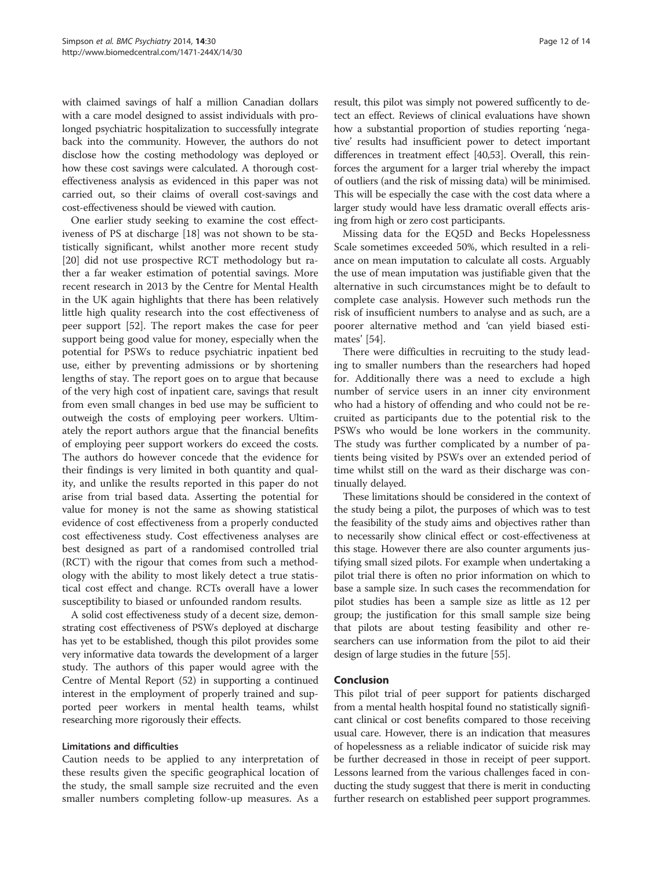with claimed savings of half a million Canadian dollars with a care model designed to assist individuals with prolonged psychiatric hospitalization to successfully integrate back into the community. However, the authors do not disclose how the costing methodology was deployed or how these cost savings were calculated. A thorough costeffectiveness analysis as evidenced in this paper was not carried out, so their claims of overall cost-savings and cost-effectiveness should be viewed with caution.

One earlier study seeking to examine the cost effectiveness of PS at discharge [[18](#page-12-0)] was not shown to be statistically significant, whilst another more recent study [[20\]](#page-12-0) did not use prospective RCT methodology but rather a far weaker estimation of potential savings. More recent research in 2013 by the Centre for Mental Health in the UK again highlights that there has been relatively little high quality research into the cost effectiveness of peer support [[52\]](#page-13-0). The report makes the case for peer support being good value for money, especially when the potential for PSWs to reduce psychiatric inpatient bed use, either by preventing admissions or by shortening lengths of stay. The report goes on to argue that because of the very high cost of inpatient care, savings that result from even small changes in bed use may be sufficient to outweigh the costs of employing peer workers. Ultimately the report authors argue that the financial benefits of employing peer support workers do exceed the costs. The authors do however concede that the evidence for their findings is very limited in both quantity and quality, and unlike the results reported in this paper do not arise from trial based data. Asserting the potential for value for money is not the same as showing statistical evidence of cost effectiveness from a properly conducted cost effectiveness study. Cost effectiveness analyses are best designed as part of a randomised controlled trial (RCT) with the rigour that comes from such a methodology with the ability to most likely detect a true statistical cost effect and change. RCTs overall have a lower susceptibility to biased or unfounded random results.

A solid cost effectiveness study of a decent size, demonstrating cost effectiveness of PSWs deployed at discharge has yet to be established, though this pilot provides some very informative data towards the development of a larger study. The authors of this paper would agree with the Centre of Mental Report (52) in supporting a continued interest in the employment of properly trained and supported peer workers in mental health teams, whilst researching more rigorously their effects.

#### Limitations and difficulties

Caution needs to be applied to any interpretation of these results given the specific geographical location of the study, the small sample size recruited and the even smaller numbers completing follow-up measures. As a

result, this pilot was simply not powered sufficently to detect an effect. Reviews of clinical evaluations have shown how a substantial proportion of studies reporting 'negative' results had insufficient power to detect important differences in treatment effect [\[40,53\]](#page-13-0). Overall, this reinforces the argument for a larger trial whereby the impact of outliers (and the risk of missing data) will be minimised. This will be especially the case with the cost data where a larger study would have less dramatic overall effects arising from high or zero cost participants.

Missing data for the EQ5D and Becks Hopelessness Scale sometimes exceeded 50%, which resulted in a reliance on mean imputation to calculate all costs. Arguably the use of mean imputation was justifiable given that the alternative in such circumstances might be to default to complete case analysis. However such methods run the risk of insufficient numbers to analyse and as such, are a poorer alternative method and 'can yield biased estimates' [[54\]](#page-13-0).

There were difficulties in recruiting to the study leading to smaller numbers than the researchers had hoped for. Additionally there was a need to exclude a high number of service users in an inner city environment who had a history of offending and who could not be recruited as participants due to the potential risk to the PSWs who would be lone workers in the community. The study was further complicated by a number of patients being visited by PSWs over an extended period of time whilst still on the ward as their discharge was continually delayed.

These limitations should be considered in the context of the study being a pilot, the purposes of which was to test the feasibility of the study aims and objectives rather than to necessarily show clinical effect or cost-effectiveness at this stage. However there are also counter arguments justifying small sized pilots. For example when undertaking a pilot trial there is often no prior information on which to base a sample size. In such cases the recommendation for pilot studies has been a sample size as little as 12 per group; the justification for this small sample size being that pilots are about testing feasibility and other researchers can use information from the pilot to aid their design of large studies in the future [[55](#page-13-0)].

## Conclusion

This pilot trial of peer support for patients discharged from a mental health hospital found no statistically significant clinical or cost benefits compared to those receiving usual care. However, there is an indication that measures of hopelessness as a reliable indicator of suicide risk may be further decreased in those in receipt of peer support. Lessons learned from the various challenges faced in conducting the study suggest that there is merit in conducting further research on established peer support programmes.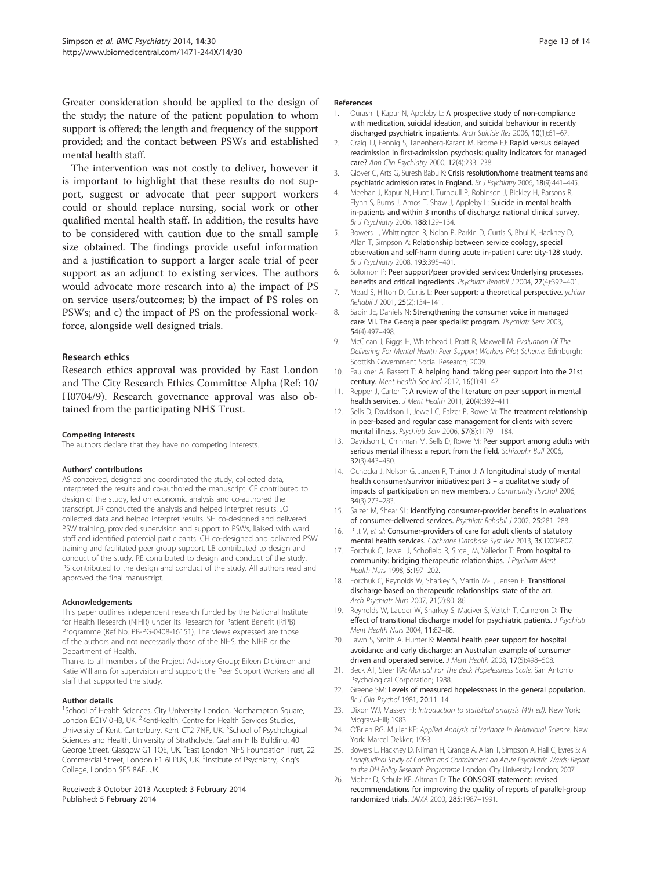<span id="page-12-0"></span>Greater consideration should be applied to the design of the study; the nature of the patient population to whom support is offered; the length and frequency of the support provided; and the contact between PSWs and established mental health staff.

The intervention was not costly to deliver, however it is important to highlight that these results do not support, suggest or advocate that peer support workers could or should replace nursing, social work or other qualified mental health staff. In addition, the results have to be considered with caution due to the small sample size obtained. The findings provide useful information and a justification to support a larger scale trial of peer support as an adjunct to existing services. The authors would advocate more research into a) the impact of PS on service users/outcomes; b) the impact of PS roles on PSWs; and c) the impact of PS on the professional workforce, alongside well designed trials.

#### Research ethics

Research ethics approval was provided by East London and The City Research Ethics Committee Alpha (Ref: 10/ H0704/9). Research governance approval was also obtained from the participating NHS Trust.

#### Competing interests

The authors declare that they have no competing interests.

#### Authors' contributions

AS conceived, designed and coordinated the study, collected data, interpreted the results and co-authored the manuscript. CF contributed to design of the study, led on economic analysis and co-authored the transcript. JR conducted the analysis and helped interpret results. JQ collected data and helped interpret results. SH co-designed and delivered PSW training, provided supervision and support to PSWs, liaised with ward staff and identified potential participants. CH co-designed and delivered PSW training and facilitated peer group support. LB contributed to design and conduct of the study. RE contributed to design and conduct of the study. PS contributed to the design and conduct of the study. All authors read and approved the final manuscript.

#### Acknowledgements

This paper outlines independent research funded by the National Institute for Health Research (NIHR) under its Research for Patient Benefit (RfPB) Programme (Ref No. PB-PG-0408-16151). The views expressed are those of the authors and not necessarily those of the NHS, the NIHR or the Department of Health.

Thanks to all members of the Project Advisory Group; Eileen Dickinson and Katie Williams for supervision and support; the Peer Support Workers and all staff that supported the study.

#### Author details

<sup>1</sup>School of Health Sciences, City University London, Northampton Square, London EC1V 0HB, UK. <sup>2</sup>KentHealth, Centre for Health Services Studies, University of Kent, Canterbury, Kent CT2 7NF, UK. <sup>3</sup>School of Psychological Sciences and Health, University of Strathclyde, Graham Hills Building, 40 George Street, Glasgow G1 1QE, UK. <sup>4</sup>East London NHS Foundation Trust, 22 Commercial Street, London E1 6LPUK, UK. <sup>5</sup>Institute of Psychiatry, King's College, London SE5 8AF, UK.

#### Received: 3 October 2013 Accepted: 3 February 2014 Published: 5 February 2014

#### References

- Ourashi I, Kapur N, Appleby L: A prospective study of non-compliance with medication, suicidal ideation, and suicidal behaviour in recently discharged psychiatric inpatients. Arch Suicide Res 2006, 10(1):61–67.
- 2. Craig TJ, Fennig S, Tanenberg-Karant M, Brome EJ: Rapid versus delayed readmission in first-admission psychosis: quality indicators for managed care? Ann Clin Psychiatry 2000, 12(4):233–238.
- 3. Glover G, Arts G, Suresh Babu K: Crisis resolution/home treatment teams and psychiatric admission rates in England. Br J Psychiatry 2006, 18(9):441–445.
- 4. Meehan J, Kapur N, Hunt I, Turnbull P, Robinson J, Bickley H, Parsons R, Flynn S, Burns J, Amos T, Shaw J, Appleby L: Suicide in mental health in-patients and within 3 months of discharge: national clinical survey. Br J Psychiatry 2006, 188:129–134.
- 5. Bowers L, Whittington R, Nolan P, Parkin D, Curtis S, Bhui K, Hackney D, Allan T, Simpson A: Relationship between service ecology, special observation and self-harm during acute in-patient care: city-128 study. Br J Psychiatry 2008, 193:395–401.
- 6. Solomon P: Peer support/peer provided services: Underlying processes, benefits and critical ingredients. Psychiatr Rehabil J 2004, 27(4):392-401.
- 7. Mead S, Hilton D, Curtis L: Peer support: a theoretical perspective. ychiatr Rehabil J 2001, 25(2):134–141.
- 8. Sabin JE, Daniels N: Strengthening the consumer voice in managed care: VII. The Georgia peer specialist program. Psychiatr Serv 2003, 54(4):497–498.
- 9. McClean J, Biggs H, Whitehead I, Pratt R, Maxwell M: Evaluation Of The Delivering For Mental Health Peer Support Workers Pilot Scheme. Edinburgh: Scottish Government Social Research; 2009.
- 10. Faulkner A, Bassett T: A helping hand: taking peer support into the 21st century. Ment Health Soc Incl 2012, 16(1):41–47.
- 11. Repper J, Carter T: A review of the literature on peer support in mental health services. J Ment Health 2011, 20(4):392-411.
- 12. Sells D, Davidson L, Jewell C, Falzer P, Rowe M: The treatment relationship in peer-based and regular case management for clients with severe mental illness. Psychiatr Serv 2006, 57(8):1179–1184.
- 13. Davidson L, Chinman M, Sells D, Rowe M: Peer support among adults with serious mental illness: a report from the field. Schizophr Bull 2006, 32(3):443–450.
- 14. Ochocka J, Nelson G, Janzen R, Trainor J: A longitudinal study of mental health consumer/survivor initiatives: part 3 – a qualitative study of impacts of participation on new members. J Community Psychol 2006, 34(3):273–283.
- 15. Salzer M, Shear SL: Identifying consumer-provider benefits in evaluations of consumer-delivered services. Psychiatr Rehabil J 2002, 25:281–288.
- 16. Pitt V, et al: Consumer-providers of care for adult clients of statutory mental health services. Cochrane Database Syst Rev 2013, 3:CD004807.
- 17. Forchuk C, Jewell J, Schofield R, Sirceli M, Valledor T: From hospital to community: bridging therapeutic relationships. J Psychiatr Ment Health Nurs 1998, 5:197–202.
- 18. Forchuk C, Reynolds W, Sharkey S, Martin M-L, Jensen E: Transitional discharge based on therapeutic relationships: state of the art. Arch Psychiatr Nurs 2007, 21(2):80–86.
- 19. Reynolds W, Lauder W, Sharkey S, Maciver S, Veitch T, Cameron D: The effect of transitional discharge model for psychiatric patients. J Psychiatr Ment Health Nurs 2004, 11:82–88.
- 20. Lawn S, Smith A, Hunter K: Mental health peer support for hospital avoidance and early discharge: an Australian example of consumer driven and operated service. J Ment Health 2008, 17(5):498-508.
- 21. Beck AT, Steer RA: Manual For The Beck Hopelessness Scale. San Antonio: Psychological Corporation; 1988.
- 22. Greene SM: Levels of measured hopelessness in the general population. Br J Clin Psychol 1981, 20:11–14.
- 23. Dixon WJ, Massey FJ: Introduction to statistical analysis (4th ed). New York: Mcgraw-Hill; 1983.
- 24. O'Brien RG, Muller KE: Applied Analysis of Variance in Behavioral Science. New York: Marcel Dekker; 1983.
- 25. Bowers L, Hackney D, Nijman H, Grange A, Allan T, Simpson A, Hall C, Eyres S: A Longitudinal Study of Conflict and Containment on Acute Psychiatric Wards: Report to the DH Policy Research Programme. London: City University London; 2007.
- 26. Moher D, Schulz KF, Altman D: The CONSORT statement: revised recommendations for improving the quality of reports of parallel-group randomized trials. JAMA 2000, 285:1987–1991.